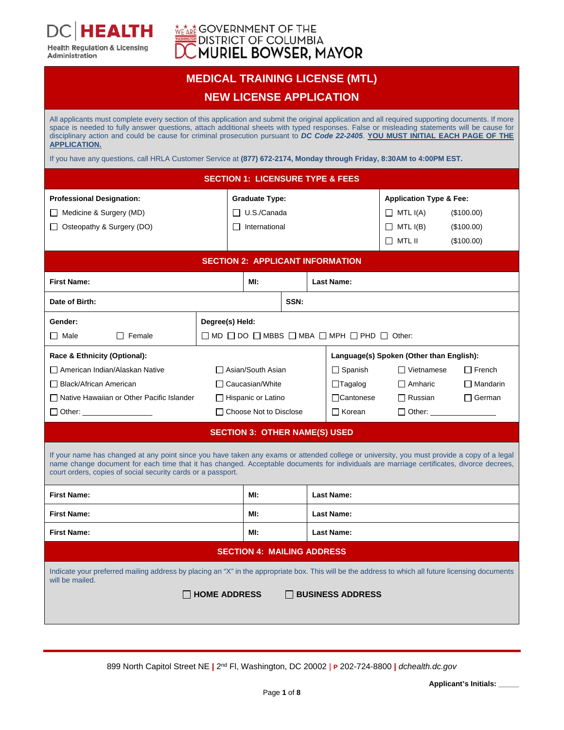

**EALTH** 

**Health Regulation & Licensing** 

Administration

### **MEDICAL TRAINING LICENSE (MTL)**

### **NEW LICENSE APPLICATION**

| All applicants must complete every section of this application and submit the original application and all required supporting documents. If more<br>space is needed to fully answer questions, attach additional sheets with typed responses. False or misleading statements will be cause for<br>disciplinary action and could be cause for criminal prosecution pursuant to DC Code 22-2405. YOU MUST INITIAL EACH PAGE OF THE<br><b>APPLICATION.</b> |                                                             |                      |                                     |                   |                           |                 |                 |
|----------------------------------------------------------------------------------------------------------------------------------------------------------------------------------------------------------------------------------------------------------------------------------------------------------------------------------------------------------------------------------------------------------------------------------------------------------|-------------------------------------------------------------|----------------------|-------------------------------------|-------------------|---------------------------|-----------------|-----------------|
| If you have any questions, call HRLA Customer Service at (877) 672-2174, Monday through Friday, 8:30AM to 4:00PM EST.                                                                                                                                                                                                                                                                                                                                    |                                                             |                      |                                     |                   |                           |                 |                 |
| <b>SECTION 1: LICENSURE TYPE &amp; FEES</b>                                                                                                                                                                                                                                                                                                                                                                                                              |                                                             |                      |                                     |                   |                           |                 |                 |
| <b>Professional Designation:</b>                                                                                                                                                                                                                                                                                                                                                                                                                         | <b>Graduate Type:</b><br><b>Application Type &amp; Fee:</b> |                      |                                     |                   |                           |                 |                 |
| $\Box$ Medicine & Surgery (MD)                                                                                                                                                                                                                                                                                                                                                                                                                           |                                                             | $\Box$ U.S./Canada   |                                     |                   |                           | $\Box$ MTL I(A) | (\$100.00)      |
| Osteopathy & Surgery (DO)                                                                                                                                                                                                                                                                                                                                                                                                                                |                                                             | $\Box$ International |                                     |                   |                           | $\Box$ MTL I(B) | (\$100.00)      |
|                                                                                                                                                                                                                                                                                                                                                                                                                                                          |                                                             |                      |                                     |                   |                           | $\Box$ MTL II   | (\$100.00)      |
|                                                                                                                                                                                                                                                                                                                                                                                                                                                          | <b>SECTION 2: APPLICANT INFORMATION</b>                     |                      |                                     |                   |                           |                 |                 |
| <b>First Name:</b><br><b>Last Name:</b><br>MI:                                                                                                                                                                                                                                                                                                                                                                                                           |                                                             |                      |                                     |                   |                           |                 |                 |
| Date of Birth:                                                                                                                                                                                                                                                                                                                                                                                                                                           |                                                             | SSN:                 |                                     |                   |                           |                 |                 |
| Gender:                                                                                                                                                                                                                                                                                                                                                                                                                                                  | Degree(s) Held:                                             |                      |                                     |                   |                           |                 |                 |
| $\Box$ MD $\Box$ DO $\Box$ MBBS $\Box$ MBA $\Box$ MPH $\Box$ PHD $\Box$ Other:<br>$\Box$ Male<br>$\Box$ Female                                                                                                                                                                                                                                                                                                                                           |                                                             |                      |                                     |                   |                           |                 |                 |
| Language(s) Spoken (Other than English):<br>Race & Ethnicity (Optional):                                                                                                                                                                                                                                                                                                                                                                                 |                                                             |                      |                                     |                   |                           |                 |                 |
| American Indian/Alaskan Native<br>□ Asian/South Asian                                                                                                                                                                                                                                                                                                                                                                                                    |                                                             |                      | $\Box$ Spanish<br>$\Box$ Vietnamese |                   |                           | $\Box$ French   |                 |
| □ Black/African American                                                                                                                                                                                                                                                                                                                                                                                                                                 | $\Box$ Caucasian/White                                      |                      |                                     |                   | $\Box$ Tagalog            | $\Box$ Amharic  | $\Box$ Mandarin |
| □ Native Hawaiian or Other Pacific Islander                                                                                                                                                                                                                                                                                                                                                                                                              | $\Box$ Hispanic or Latino                                   |                      |                                     |                   | Cantonese                 | $\Box$ Russian  | $\Box$ German   |
| Other: ____________________                                                                                                                                                                                                                                                                                                                                                                                                                              | □ Choose Not to Disclose                                    |                      |                                     | $\Box$ Korean     | □ Other: ________________ |                 |                 |
| <b>SECTION 3: OTHER NAME(S) USED</b>                                                                                                                                                                                                                                                                                                                                                                                                                     |                                                             |                      |                                     |                   |                           |                 |                 |
| If your name has changed at any point since you have taken any exams or attended college or university, you must provide a copy of a legal<br>name change document for each time that it has changed. Acceptable documents for individuals are marriage certificates, divorce decrees,<br>court orders, copies of social security cards or a passport.                                                                                                   |                                                             |                      |                                     |                   |                           |                 |                 |
| <b>First Name:</b>                                                                                                                                                                                                                                                                                                                                                                                                                                       |                                                             | MI:                  |                                     | <b>Last Name:</b> |                           |                 |                 |
| <b>First Name:</b>                                                                                                                                                                                                                                                                                                                                                                                                                                       |                                                             | MI:                  |                                     | <b>Last Name:</b> |                           |                 |                 |
| <b>First Name:</b>                                                                                                                                                                                                                                                                                                                                                                                                                                       |                                                             | MI:                  |                                     | <b>Last Name:</b> |                           |                 |                 |
| <b>SECTION 4: MAILING ADDRESS</b>                                                                                                                                                                                                                                                                                                                                                                                                                        |                                                             |                      |                                     |                   |                           |                 |                 |
| Indicate your preferred mailing address by placing an "X" in the appropriate box. This will be the address to which all future licensing documents<br>will be mailed.                                                                                                                                                                                                                                                                                    |                                                             |                      |                                     |                   |                           |                 |                 |
| $\sqcap$ HOME ADDRESS<br><b>BUSINESS ADDRESS</b>                                                                                                                                                                                                                                                                                                                                                                                                         |                                                             |                      |                                     |                   |                           |                 |                 |

899 North Capitol Street NE **|** 2nd Fl, Washington, DC 20002 | **P** 202-724-8800 **|** *dchealth.dc.gov*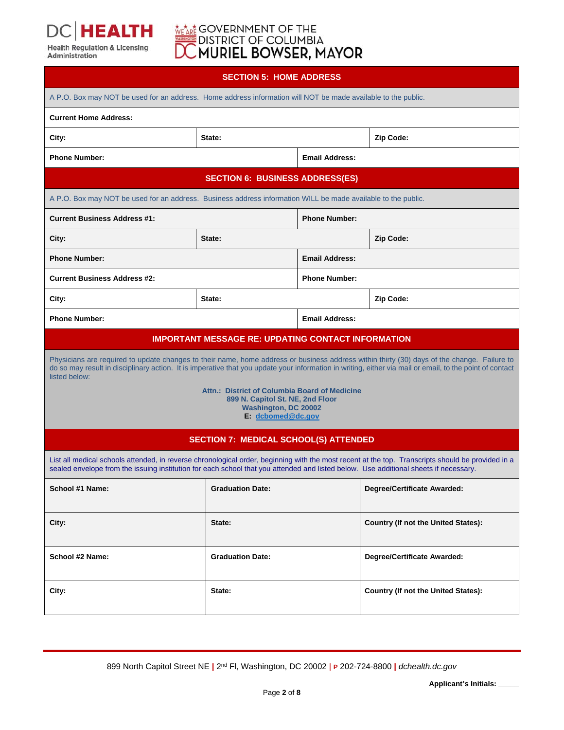

# **WEARE GOVERNMENT OF THE DISTRICT OF COLUMBIA**<br>DISTRICT OF COLUMBIA<br>**DC MURIEL BOWSER, MAYOR**

| <b>SECTION 5: HOME ADDRESS</b> |  |  |
|--------------------------------|--|--|
|                                |  |  |

| A P.O. Box may NOT be used for an address. Home address information will NOT be made available to the public.                                                                                                                                                                                                                                                                                                                                              |                                              |                       |                                            |  |  |
|------------------------------------------------------------------------------------------------------------------------------------------------------------------------------------------------------------------------------------------------------------------------------------------------------------------------------------------------------------------------------------------------------------------------------------------------------------|----------------------------------------------|-----------------------|--------------------------------------------|--|--|
| <b>Current Home Address:</b>                                                                                                                                                                                                                                                                                                                                                                                                                               |                                              |                       |                                            |  |  |
| City:                                                                                                                                                                                                                                                                                                                                                                                                                                                      | State:                                       |                       | Zip Code:                                  |  |  |
| <b>Phone Number:</b>                                                                                                                                                                                                                                                                                                                                                                                                                                       |                                              | <b>Email Address:</b> |                                            |  |  |
|                                                                                                                                                                                                                                                                                                                                                                                                                                                            | <b>SECTION 6: BUSINESS ADDRESS(ES)</b>       |                       |                                            |  |  |
| A P.O. Box may NOT be used for an address. Business address information WILL be made available to the public.                                                                                                                                                                                                                                                                                                                                              |                                              |                       |                                            |  |  |
| <b>Current Business Address #1:</b>                                                                                                                                                                                                                                                                                                                                                                                                                        |                                              | <b>Phone Number:</b>  |                                            |  |  |
| City:                                                                                                                                                                                                                                                                                                                                                                                                                                                      | State:                                       |                       | Zip Code:                                  |  |  |
| <b>Phone Number:</b>                                                                                                                                                                                                                                                                                                                                                                                                                                       |                                              | <b>Email Address:</b> |                                            |  |  |
| <b>Current Business Address #2:</b>                                                                                                                                                                                                                                                                                                                                                                                                                        |                                              | <b>Phone Number:</b>  |                                            |  |  |
| City:                                                                                                                                                                                                                                                                                                                                                                                                                                                      | State:                                       |                       | Zip Code:                                  |  |  |
| <b>Phone Number:</b><br><b>Email Address:</b>                                                                                                                                                                                                                                                                                                                                                                                                              |                                              |                       |                                            |  |  |
| <b>IMPORTANT MESSAGE RE: UPDATING CONTACT INFORMATION</b>                                                                                                                                                                                                                                                                                                                                                                                                  |                                              |                       |                                            |  |  |
| Physicians are required to update changes to their name, home address or business address within thirty (30) days of the change. Failure to<br>do so may result in disciplinary action. It is imperative that you update your information in writing, either via mail or email, to the point of contact<br>listed below:<br>Attn.: District of Columbia Board of Medicine<br>899 N. Capitol St. NE, 2nd Floor<br>Washington, DC 20002<br>E. dcbomed@dc.gov |                                              |                       |                                            |  |  |
|                                                                                                                                                                                                                                                                                                                                                                                                                                                            | <b>SECTION 7: MEDICAL SCHOOL(S) ATTENDED</b> |                       |                                            |  |  |
| List all medical schools attended, in reverse chronological order, beginning with the most recent at the top. Transcripts should be provided in a<br>sealed envelope from the issuing institution for each school that you attended and listed below. Use additional sheets if necessary.                                                                                                                                                                  |                                              |                       |                                            |  |  |
| School #1 Name:                                                                                                                                                                                                                                                                                                                                                                                                                                            | <b>Graduation Date:</b>                      |                       | Degree/Certificate Awarded:                |  |  |
| City:                                                                                                                                                                                                                                                                                                                                                                                                                                                      | State:                                       |                       | <b>Country (If not the United States):</b> |  |  |
| School #2 Name:                                                                                                                                                                                                                                                                                                                                                                                                                                            | <b>Graduation Date:</b>                      |                       | <b>Degree/Certificate Awarded:</b>         |  |  |
| City:                                                                                                                                                                                                                                                                                                                                                                                                                                                      | State:                                       |                       | Country (If not the United States):        |  |  |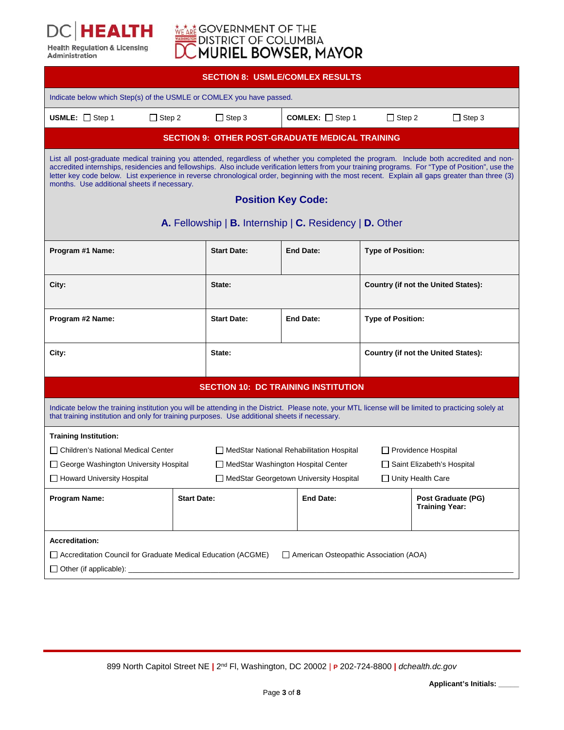

# **WEARE GOVERNMENT OF THE DISTRICT OF COLUMBIA**<br>DISTRICT OF COLUMBIA<br>**DC MURIEL BOWSER, MAYOR**

|                                                                                                                                                                                                                                                                                                                                                                                                                                                                                                                              | <b>SECTION 8: USMLE/COMLEX RESULTS</b>                  |                    |                                                        |                                            |                                             |  |  |
|------------------------------------------------------------------------------------------------------------------------------------------------------------------------------------------------------------------------------------------------------------------------------------------------------------------------------------------------------------------------------------------------------------------------------------------------------------------------------------------------------------------------------|---------------------------------------------------------|--------------------|--------------------------------------------------------|--------------------------------------------|---------------------------------------------|--|--|
| Indicate below which Step(s) of the USMLE or COMLEX you have passed.                                                                                                                                                                                                                                                                                                                                                                                                                                                         |                                                         |                    |                                                        |                                            |                                             |  |  |
| USMLE: $\Box$ Step 1<br>$\Box$ Step 2                                                                                                                                                                                                                                                                                                                                                                                                                                                                                        |                                                         | $\Box$ Step 3      | <b>COMLEX:</b> $\Box$ Step 1                           | $\Box$ Step 2                              | $\Box$ Step 3                               |  |  |
|                                                                                                                                                                                                                                                                                                                                                                                                                                                                                                                              |                                                         |                    | <b>SECTION 9: OTHER POST-GRADUATE MEDICAL TRAINING</b> |                                            |                                             |  |  |
| List all post-graduate medical training you attended, regardless of whether you completed the program. Include both accredited and non-<br>accredited internships, residencies and fellowships. Also include verification letters from your training programs. For "Type of Position", use the<br>letter key code below. List experience in reverse chronological order, beginning with the most recent. Explain all gaps greater than three (3)<br>months. Use additional sheets if necessary.<br><b>Position Key Code:</b> |                                                         |                    |                                                        |                                            |                                             |  |  |
|                                                                                                                                                                                                                                                                                                                                                                                                                                                                                                                              | A. Fellowship   B. Internship   C. Residency   D. Other |                    |                                                        |                                            |                                             |  |  |
| Program #1 Name:                                                                                                                                                                                                                                                                                                                                                                                                                                                                                                             |                                                         | <b>Start Date:</b> | <b>End Date:</b>                                       | <b>Type of Position:</b>                   |                                             |  |  |
| City:                                                                                                                                                                                                                                                                                                                                                                                                                                                                                                                        |                                                         | State:             |                                                        |                                            | <b>Country (if not the United States):</b>  |  |  |
| Program #2 Name:                                                                                                                                                                                                                                                                                                                                                                                                                                                                                                             |                                                         | <b>Start Date:</b> | <b>End Date:</b>                                       | <b>Type of Position:</b>                   |                                             |  |  |
| City:                                                                                                                                                                                                                                                                                                                                                                                                                                                                                                                        |                                                         | State:             |                                                        | <b>Country (if not the United States):</b> |                                             |  |  |
| <b>SECTION 10: DC TRAINING INSTITUTION</b>                                                                                                                                                                                                                                                                                                                                                                                                                                                                                   |                                                         |                    |                                                        |                                            |                                             |  |  |
| Indicate below the training institution you will be attending in the District. Please note, your MTL license will be limited to practicing solely at<br>that training institution and only for training purposes. Use additional sheets if necessary.                                                                                                                                                                                                                                                                        |                                                         |                    |                                                        |                                            |                                             |  |  |
| <b>Training Institution:</b>                                                                                                                                                                                                                                                                                                                                                                                                                                                                                                 |                                                         |                    |                                                        |                                            |                                             |  |  |
| □ Children's National Medical Center<br>MedStar National Rehabilitation Hospital                                                                                                                                                                                                                                                                                                                                                                                                                                             |                                                         |                    |                                                        | $\Box$ Providence Hospital                 |                                             |  |  |
| □ Saint Elizabeth's Hospital<br>□ George Washington University Hospital<br>$\Box$ MedStar Washington Hospital Center                                                                                                                                                                                                                                                                                                                                                                                                         |                                                         |                    |                                                        |                                            |                                             |  |  |
| □ MedStar Georgetown University Hospital<br>$\Box$ Unity Health Care<br>∐ Howard University Hospital                                                                                                                                                                                                                                                                                                                                                                                                                         |                                                         |                    |                                                        |                                            |                                             |  |  |
| Program Name:                                                                                                                                                                                                                                                                                                                                                                                                                                                                                                                | <b>Start Date:</b>                                      |                    | <b>End Date:</b>                                       |                                            | Post Graduate (PG)<br><b>Training Year:</b> |  |  |
| <b>Accreditation:</b>                                                                                                                                                                                                                                                                                                                                                                                                                                                                                                        |                                                         |                    |                                                        |                                            |                                             |  |  |
| $\Box$ Accreditation Council for Graduate Medical Education (ACGME)<br>American Osteopathic Association (AOA)                                                                                                                                                                                                                                                                                                                                                                                                                |                                                         |                    |                                                        |                                            |                                             |  |  |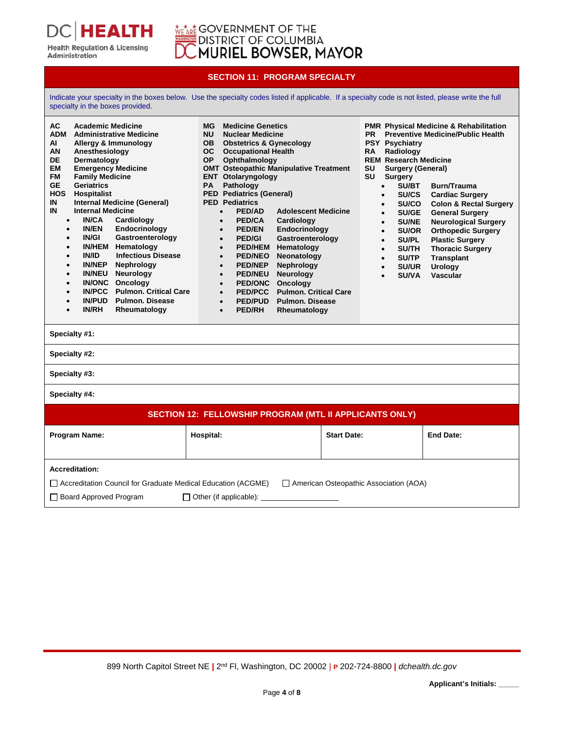

TН

**Health Regulation & Licensing** 

Administration

#### **SECTION 11: PROGRAM SPECIALTY**

Indicate your specialty in the boxes below. Use the specialty codes listed if applicable. If a specialty code is not listed, please write the full specialty in the boxes provided.

| <b>AC</b><br><b>Academic Medicine</b><br><b>ADM</b><br><b>Administrative Medicine</b><br>ΑI<br>Allergy & Immunology<br>AN<br>Anesthesiology<br>DE<br>Dermatology<br><b>EM</b><br><b>Emergency Medicine</b><br><b>FM</b><br><b>Family Medicine</b><br><b>GE</b><br><b>Geriatrics</b><br><b>HOS</b><br><b>Hospitalist</b><br><b>Internal Medicine (General)</b><br>IN<br><b>Internal Medicine</b><br>IN<br><b>IN/CA</b><br>Cardiology<br>$\bullet$<br><b>IN/EN</b><br>Endocrinology<br>$\bullet$<br><b>IN/GI</b><br>Gastroenterology<br>$\bullet$<br><b>IN/HEM</b><br>Hematology<br>$\bullet$<br><b>IN/ID</b><br><b>Infectious Disease</b><br>$\bullet$<br><b>IN/NEP</b><br>Nephrology<br>$\bullet$<br><b>IN/NEU</b><br><b>Neurology</b><br>$\bullet$<br><b>IN/ONC</b><br>Oncology<br>$\bullet$<br><b>IN/PCC</b><br><b>Pulmon. Critical Care</b><br>$\bullet$<br><b>IN/PUD</b><br><b>Pulmon. Disease</b><br>$\bullet$<br><b>IN/RH</b><br>Rheumatology<br>$\bullet$<br>Specialty #1:<br>Specialty #2: | <b>Medicine Genetics</b><br>МG<br><b>NU</b><br><b>Nuclear Medicine</b><br><b>Obstetrics &amp; Gynecology</b><br>OB.<br>OC.<br><b>Occupational Health</b><br>Ophthalmology<br><b>OP</b><br><b>OMT Osteopathic Manipulative Treatment</b><br><b>ENT</b> Otolaryngology<br><b>PA</b><br>Pathology<br><b>PED Pediatrics (General)</b><br><b>PED Pediatrics</b><br>PED/AD<br><b>Adolescent Medicine</b><br>$\bullet$<br><b>PED/CA</b><br>Cardiology<br>$\bullet$<br>Endocrinology<br><b>PED/EN</b><br>$\bullet$<br>Gastroenterology<br><b>PED/GI</b><br>$\bullet$<br><b>PED/HEM</b><br>Hematology<br>$\bullet$<br><b>PED/NEO</b><br>Neonatology<br>$\bullet$<br><b>PED/NEP</b><br>Nephrology<br>$\bullet$<br><b>Neurology</b><br><b>PED/NEU</b><br>$\bullet$<br>Oncology<br><b>PED/ONC</b><br>$\bullet$<br><b>Pulmon. Critical Care</b><br><b>PED/PCC</b><br>$\bullet$<br><b>PED/PUD</b><br><b>Pulmon. Disease</b><br>$\bullet$<br><b>PED/RH</b><br>Rheumatology<br>$\bullet$ | <b>PR</b><br><b>PSY Psychiatry</b><br>Radiology<br><b>RA</b><br><b>REM Research Medicine</b><br>SU<br><b>Surgery (General)</b><br>SU<br>Surgery<br>SU/BT<br>$\bullet$<br><b>SU/CS</b><br>$\bullet$<br>SU/CO<br>$\bullet$<br>SU/GE<br>$\bullet$<br><b>SU/NE</b><br>$\bullet$<br><b>SU/OR</b><br>$\bullet$<br><b>SU/PL</b><br>$\bullet$<br><b>SU/TH</b><br>$\bullet$<br><b>SU/TP</b><br>$\bullet$<br><b>SU/UR</b><br>$\bullet$<br><b>SU/VA</b><br>$\bullet$ | <b>PMR Physical Medicine &amp; Rehabilitation</b><br><b>Preventive Medicine/Public Health</b><br><b>Burn/Trauma</b><br><b>Cardiac Surgery</b><br><b>Colon &amp; Rectal Surgery</b><br><b>General Surgery</b><br><b>Neurological Surgery</b><br><b>Orthopedic Surgery</b><br><b>Plastic Surgery</b><br><b>Thoracic Surgery</b><br><b>Transplant</b><br><b>Urology</b><br><b>Vascular</b> |  |  |  |
|----------------------------------------------------------------------------------------------------------------------------------------------------------------------------------------------------------------------------------------------------------------------------------------------------------------------------------------------------------------------------------------------------------------------------------------------------------------------------------------------------------------------------------------------------------------------------------------------------------------------------------------------------------------------------------------------------------------------------------------------------------------------------------------------------------------------------------------------------------------------------------------------------------------------------------------------------------------------------------------------------|--------------------------------------------------------------------------------------------------------------------------------------------------------------------------------------------------------------------------------------------------------------------------------------------------------------------------------------------------------------------------------------------------------------------------------------------------------------------------------------------------------------------------------------------------------------------------------------------------------------------------------------------------------------------------------------------------------------------------------------------------------------------------------------------------------------------------------------------------------------------------------------------------------------------------------------------------------------------------|-----------------------------------------------------------------------------------------------------------------------------------------------------------------------------------------------------------------------------------------------------------------------------------------------------------------------------------------------------------------------------------------------------------------------------------------------------------|-----------------------------------------------------------------------------------------------------------------------------------------------------------------------------------------------------------------------------------------------------------------------------------------------------------------------------------------------------------------------------------------|--|--|--|
| Specialty #3:                                                                                                                                                                                                                                                                                                                                                                                                                                                                                                                                                                                                                                                                                                                                                                                                                                                                                                                                                                                      |                                                                                                                                                                                                                                                                                                                                                                                                                                                                                                                                                                                                                                                                                                                                                                                                                                                                                                                                                                          |                                                                                                                                                                                                                                                                                                                                                                                                                                                           |                                                                                                                                                                                                                                                                                                                                                                                         |  |  |  |
| Specialty #4:                                                                                                                                                                                                                                                                                                                                                                                                                                                                                                                                                                                                                                                                                                                                                                                                                                                                                                                                                                                      |                                                                                                                                                                                                                                                                                                                                                                                                                                                                                                                                                                                                                                                                                                                                                                                                                                                                                                                                                                          |                                                                                                                                                                                                                                                                                                                                                                                                                                                           |                                                                                                                                                                                                                                                                                                                                                                                         |  |  |  |
|                                                                                                                                                                                                                                                                                                                                                                                                                                                                                                                                                                                                                                                                                                                                                                                                                                                                                                                                                                                                    | <b>SECTION 12: FELLOWSHIP PROGRAM (MTL II APPLICANTS ONLY)</b>                                                                                                                                                                                                                                                                                                                                                                                                                                                                                                                                                                                                                                                                                                                                                                                                                                                                                                           |                                                                                                                                                                                                                                                                                                                                                                                                                                                           |                                                                                                                                                                                                                                                                                                                                                                                         |  |  |  |
| Program Name:                                                                                                                                                                                                                                                                                                                                                                                                                                                                                                                                                                                                                                                                                                                                                                                                                                                                                                                                                                                      | Hospital:                                                                                                                                                                                                                                                                                                                                                                                                                                                                                                                                                                                                                                                                                                                                                                                                                                                                                                                                                                | <b>Start Date:</b>                                                                                                                                                                                                                                                                                                                                                                                                                                        | <b>End Date:</b>                                                                                                                                                                                                                                                                                                                                                                        |  |  |  |
| <b>Accreditation:</b>                                                                                                                                                                                                                                                                                                                                                                                                                                                                                                                                                                                                                                                                                                                                                                                                                                                                                                                                                                              |                                                                                                                                                                                                                                                                                                                                                                                                                                                                                                                                                                                                                                                                                                                                                                                                                                                                                                                                                                          |                                                                                                                                                                                                                                                                                                                                                                                                                                                           |                                                                                                                                                                                                                                                                                                                                                                                         |  |  |  |
| American Osteopathic Association (AOA)<br>$\Box$ Accreditation Council for Graduate Medical Education (ACGME)                                                                                                                                                                                                                                                                                                                                                                                                                                                                                                                                                                                                                                                                                                                                                                                                                                                                                      |                                                                                                                                                                                                                                                                                                                                                                                                                                                                                                                                                                                                                                                                                                                                                                                                                                                                                                                                                                          |                                                                                                                                                                                                                                                                                                                                                                                                                                                           |                                                                                                                                                                                                                                                                                                                                                                                         |  |  |  |
| $\Box$ Board Approved Program<br>$\Box$ Other (if applicable):                                                                                                                                                                                                                                                                                                                                                                                                                                                                                                                                                                                                                                                                                                                                                                                                                                                                                                                                     |                                                                                                                                                                                                                                                                                                                                                                                                                                                                                                                                                                                                                                                                                                                                                                                                                                                                                                                                                                          |                                                                                                                                                                                                                                                                                                                                                                                                                                                           |                                                                                                                                                                                                                                                                                                                                                                                         |  |  |  |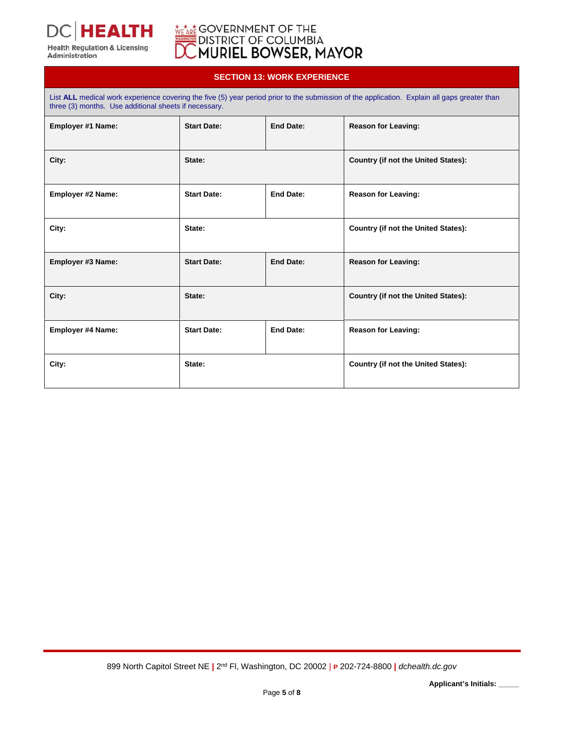

**Health Regulation & Licensing** Administration

## GOVERNMENT OF THE<br>DISTRICT OF COLUMBIA<br>M**URIEL BOWSER, MAYOR**

### **SECTION 13: WORK EXPERIENCE**

List ALL medical work experience covering the five (5) year period prior to the submission of the application. Explain all gaps greater than three (3) months. Use additional sheets if necessary. **Employer #1 Name:** Start Date: **End Date:** Reason for Leaving: **City: State: Country (if not the United States): Employer #2 Name:** Start Date: **Reason for Leaving: Reason for Leaving: Reason for Leaving:** City: City: **City:** State: **State: State: Country (if not the United States): Employer #3 Name:** Start Date: **Start Date: End Date:** Reason for Leaving: **City:** City: **City:** State: **State: Country (if not the United States):** Employer #4 Name: **Start Date:** Start Date: **End Date:** Reason for Leaving: City: City: **City:** State: **State: State: Country (if not the United States):**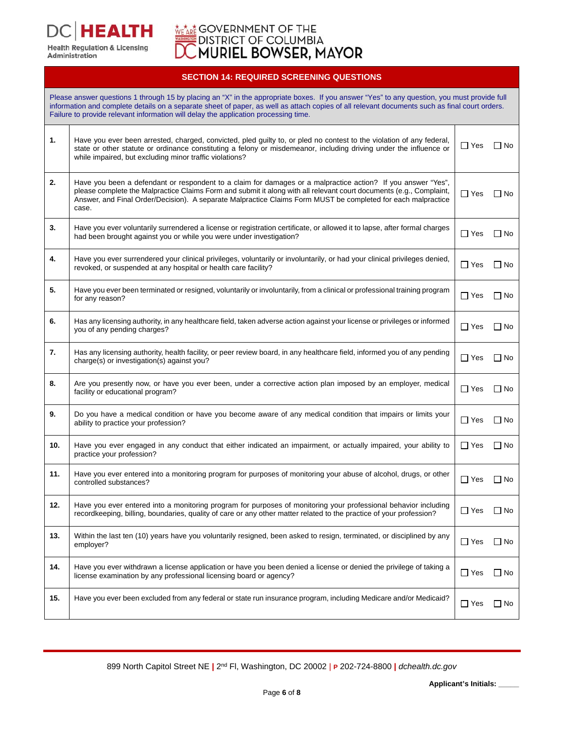**HEALTH Health Regulation & Licensing<br>Administration** 

# **WEARE GOVERNMENT OF THE DISTRICT OF COLUMBIA**<br>DISTRICT OF COLUMBIA<br>**DC MURIEL BOWSER, MAYOR**

### **SECTION 14: REQUIRED SCREENING QUESTIONS**

|     | Please answer questions 1 through 15 by placing an "X" in the appropriate boxes. If you answer "Yes" to any question, you must provide full<br>information and complete details on a separate sheet of paper, as well as attach copies of all relevant documents such as final court orders.<br>Failure to provide relevant information will delay the application processing time. |            |           |
|-----|-------------------------------------------------------------------------------------------------------------------------------------------------------------------------------------------------------------------------------------------------------------------------------------------------------------------------------------------------------------------------------------|------------|-----------|
| 1.  | Have you ever been arrested, charged, convicted, pled guilty to, or pled no contest to the violation of any federal,<br>state or other statute or ordinance constituting a felony or misdemeanor, including driving under the influence or<br>while impaired, but excluding minor traffic violations?                                                                               | $\Box$ Yes | $\Box$ No |
| 2.  | Have you been a defendant or respondent to a claim for damages or a malpractice action? If you answer "Yes",<br>please complete the Malpractice Claims Form and submit it along with all relevant court documents (e.g., Complaint,<br>Answer, and Final Order/Decision). A separate Malpractice Claims Form MUST be completed for each malpractice<br>case.                        | $\Box$ Yes | $\Box$ No |
| 3.  | Have you ever voluntarily surrendered a license or registration certificate, or allowed it to lapse, after formal charges<br>had been brought against you or while you were under investigation?                                                                                                                                                                                    | $\Box$ Yes | ∏ No      |
| 4.  | Have you ever surrendered your clinical privileges, voluntarily or involuntarily, or had your clinical privileges denied,<br>revoked, or suspended at any hospital or health care facility?                                                                                                                                                                                         | $\Box$ Yes | ∣ No      |
| 5.  | Have you ever been terminated or resigned, voluntarily or involuntarily, from a clinical or professional training program<br>for any reason?                                                                                                                                                                                                                                        | $\Box$ Yes | $\Box$ No |
| 6.  | Has any licensing authority, in any healthcare field, taken adverse action against your license or privileges or informed<br>you of any pending charges?                                                                                                                                                                                                                            | $\Box$ Yes | $\Box$ No |
| 7.  | Has any licensing authority, health facility, or peer review board, in any healthcare field, informed you of any pending<br>charge(s) or investigation(s) against you?                                                                                                                                                                                                              | $\Box$ Yes | $\Box$ No |
| 8.  | Are you presently now, or have you ever been, under a corrective action plan imposed by an employer, medical<br>facility or educational program?                                                                                                                                                                                                                                    | $\Box$ Yes | $\Box$ No |
| 9.  | Do you have a medical condition or have you become aware of any medical condition that impairs or limits your<br>ability to practice your profession?                                                                                                                                                                                                                               | $\Box$ Yes | ∏ No      |
| 10. | Have you ever engaged in any conduct that either indicated an impairment, or actually impaired, your ability to<br>practice your profession?                                                                                                                                                                                                                                        | $\Box$ Yes | $\Box$ No |
| 11. | Have you ever entered into a monitoring program for purposes of monitoring your abuse of alcohol, drugs, or other<br>controlled substances?                                                                                                                                                                                                                                         | $\Box$ Yes | $\Box$ No |
| 12. | Have you ever entered into a monitoring program for purposes of monitoring your professional behavior including<br>recordkeeping, billing, boundaries, quality of care or any other matter related to the practice of your profession?                                                                                                                                              | $\Box$ Yes | $\Box$ No |
| 13. | Within the last ten (10) years have you voluntarily resigned, been asked to resign, terminated, or disciplined by any<br>employer?                                                                                                                                                                                                                                                  | $\Box$ Yes | $\Box$ No |
| 14. | Have you ever withdrawn a license application or have you been denied a license or denied the privilege of taking a<br>license examination by any professional licensing board or agency?                                                                                                                                                                                           | $\Box$ Yes | $\Box$ No |
| 15. | Have you ever been excluded from any federal or state run insurance program, including Medicare and/or Medicaid?                                                                                                                                                                                                                                                                    | $\Box$ Yes | $\Box$ No |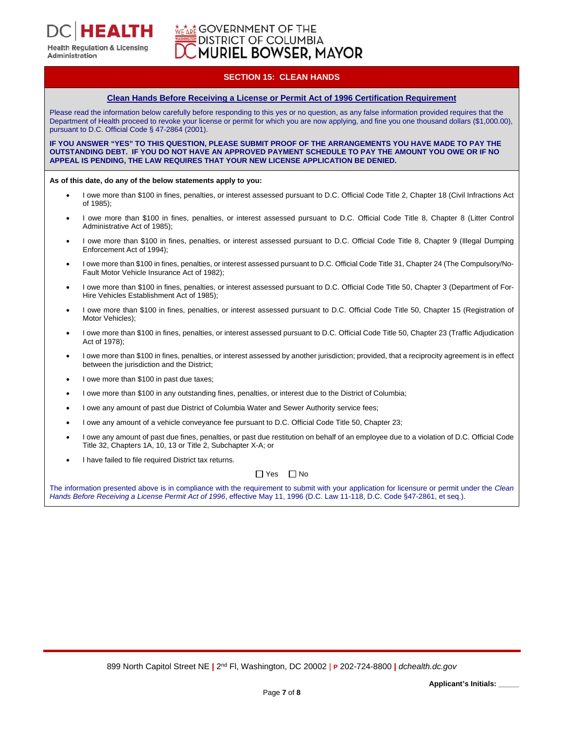### **GOVERNMENT OF THE DISTRICT OF COLUMBIA MURIEL BOWSER, MAYOR**

### **SECTION 15: CLEAN HANDS**

#### **Clean Hands Before Receiving a License or Permit Act of 1996 Certification Requirement**

Please read the information below carefully before responding to this yes or no question, as any false information provided requires that the Department of Health proceed to revoke your license or permit for which you are now applying, and fine you one thousand dollars (\$1,000.00), pursuant to D.C. Official Code § 47-2864 (2001).

**IF YOU ANSWER "YES" TO THIS QUESTION, PLEASE SUBMIT PROOF OF THE ARRANGEMENTS YOU HAVE MADE TO PAY THE OUTSTANDING DEBT. IF YOU DO NOT HAVE AN APPROVED PAYMENT SCHEDULE TO PAY THE AMOUNT YOU OWE OR IF NO APPEAL IS PENDING, THE LAW REQUIRES THAT YOUR NEW LICENSE APPLICATION BE DENIED.** 

#### **As of this date, do any of the below statements apply to you:**

- I owe more than \$100 in fines, penalties, or interest assessed pursuant to D.C. Official Code Title 2, Chapter 18 (Civil Infractions Act of 1985);
- I owe more than \$100 in fines, penalties, or interest assessed pursuant to D.C. Official Code Title 8, Chapter 8 (Litter Control Administrative Act of 1985);
- I owe more than \$100 in fines, penalties, or interest assessed pursuant to D.C. Official Code Title 8, Chapter 9 (Illegal Dumping Enforcement Act of 1994);
- I owe more than \$100 in fines, penalties, or interest assessed pursuant to D.C. Official Code Title 31, Chapter 24 (The Compulsory/No-Fault Motor Vehicle Insurance Act of 1982);
- I owe more than \$100 in fines, penalties, or interest assessed pursuant to D.C. Official Code Title 50, Chapter 3 (Department of For-Hire Vehicles Establishment Act of 1985);
- I owe more than \$100 in fines, penalties, or interest assessed pursuant to D.C. Official Code Title 50, Chapter 15 (Registration of Motor Vehicles);
- I owe more than \$100 in fines, penalties, or interest assessed pursuant to D.C. Official Code Title 50, Chapter 23 (Traffic Adjudication Act of 1978);
- I owe more than \$100 in fines, penalties, or interest assessed by another jurisdiction; provided, that a reciprocity agreement is in effect between the jurisdiction and the District;
- I owe more than \$100 in past due taxes;
- I owe more than \$100 in any outstanding fines, penalties, or interest due to the District of Columbia;
- I owe any amount of past due District of Columbia Water and Sewer Authority service fees;
- I owe any amount of a vehicle conveyance fee pursuant to D.C. Official Code Title 50, Chapter 23;
- I owe any amount of past due fines, penalties, or past due restitution on behalf of an employee due to a violation of D.C. Official Code Title 32, Chapters 1A, 10, 13 or Title 2, Subchapter X-A; or
- I have failed to file required District tax returns.

#### $\Box$  Yes  $\Box$  No

The information presented above is in compliance with the requirement to submit with your application for licensure or permit under the *Clean Hands Before Receiving a License Permit Act of 1996*, effective May 11, 1996 (D.C. Law 11-118, D.C. Code §47-2861, et seq.).